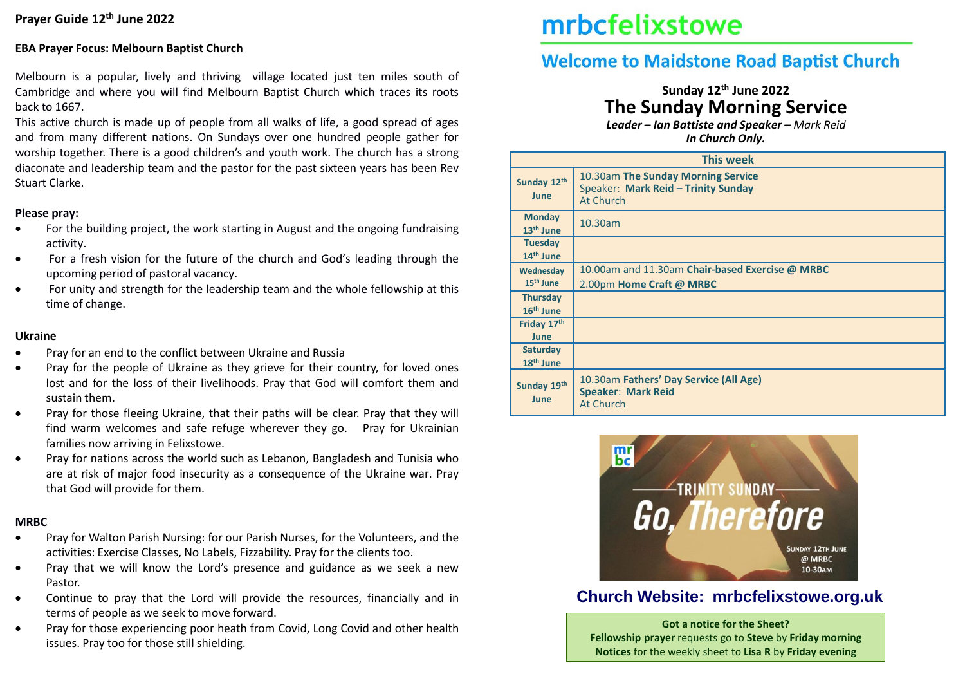## **EBA Prayer Focus: Melbourn Baptist Church**

Melbourn is a popular, lively and thriving village located just ten miles south of Cambridge and where you will find Melbourn Baptist Church which traces its roots back to 1667.

This active church is made up of people from all walks of life, a good spread of ages and from many different nations. On Sundays over one hundred people gather for worship together. There is a good children's and youth work. The church has a strong diaconate and leadership team and the pastor for the past sixteen years has been Rev Stuart Clarke.

### **Please pray:**

- For the building project, the work starting in August and the ongoing fundraising activity.
- For a fresh vision for the future of the church and God's leading through the upcoming period of pastoral vacancy.
- For unity and strength for the leadership team and the whole fellowship at this time of change.

## **Ukraine**

- Pray for an end to the conflict between Ukraine and Russia
- Pray for the people of Ukraine as they grieve for their country, for loved ones lost and for the loss of their livelihoods. Pray that God will comfort them and sustain them.
- Pray for those fleeing Ukraine, that their paths will be clear. Pray that they will find warm welcomes and safe refuge wherever they go. Pray for Ukrainian families now arriving in Felixstowe.
- Pray for nations across the world such as Lebanon, Bangladesh and Tunisia who are at risk of major food insecurity as a consequence of the Ukraine war. Pray that God will provide for them.

## **MRBC**

- Pray for Walton Parish Nursing: for our Parish Nurses, for the Volunteers, and the activities: Exercise Classes, No Labels, Fizzability. Pray for the clients too.
- Pray that we will know the Lord's presence and guidance as we seek a new Pastor.
- Continue to pray that the Lord will provide the resources, financially and in terms of people as we seek to move forward.
- Pray for those experiencing poor heath from Covid, Long Covid and other health issues. Pray too for those still shielding.

# mrbcfelixstowe

# **Welcome to Maidstone Road Baptist Church**

## **Sunday 12th June 2022 The Sunday Morning Service**

*Leader – Ian Battiste and Speaker – Mark Reid In Church Only.*

|                                          | <b>This week</b>                                                                       |  |  |  |  |
|------------------------------------------|----------------------------------------------------------------------------------------|--|--|--|--|
| Sunday 12th<br>June                      | 10.30am The Sunday Morning Service<br>Speaker: Mark Reid - Trinity Sunday<br>At Church |  |  |  |  |
| <b>Monday</b><br>13 <sup>th</sup> June   | 10.30am                                                                                |  |  |  |  |
| <b>Tuesday</b><br>14 <sup>th</sup> June  |                                                                                        |  |  |  |  |
| Wednesday<br>15 <sup>th</sup> June       | 10.00am and 11.30am Chair-based Exercise @ MRBC<br>2.00pm Home Craft @ MRBC            |  |  |  |  |
| <b>Thursday</b><br>16 <sup>th</sup> June |                                                                                        |  |  |  |  |
| Friday 17th<br><b>June</b>               |                                                                                        |  |  |  |  |
| <b>Saturday</b><br>18 <sup>th</sup> June |                                                                                        |  |  |  |  |
| Sunday 19th<br>June                      | 10.30am Fathers' Day Service (All Age)<br><b>Speaker: Mark Reid</b><br>At Church       |  |  |  |  |



## **Church Website: mrbcfelixstowe.org.uk**

**Got a notice for the Sheet? Fellowship prayer** requests go to **Steve** by **Friday morning Notices** for the weekly sheet to **Lisa R** by **Friday evening**